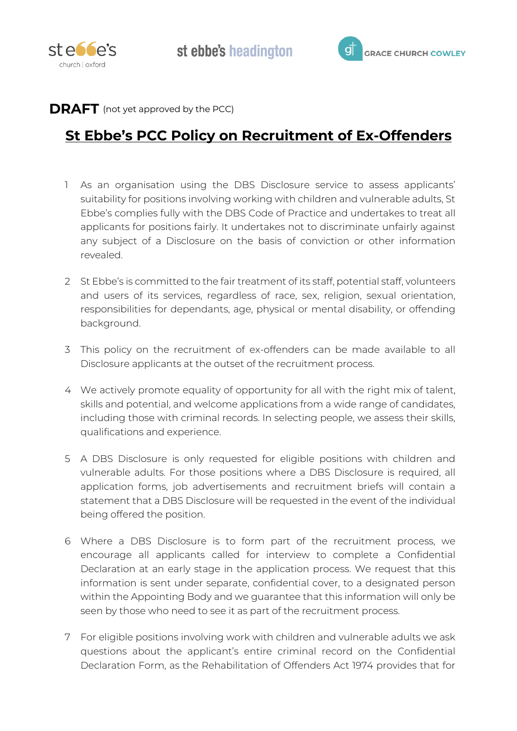



## **DRAFT** (not yet approved by the PCC)

## **St Ebbe's PCC Policy on Recruitment of Ex-Offenders**

- 1 As an organisation using the DBS Disclosure service to assess applicants' suitability for positions involving working with children and vulnerable adults, St Ebbe's complies fully with the DBS Code of Practice and undertakes to treat all applicants for positions fairly. It undertakes not to discriminate unfairly against any subject of a Disclosure on the basis of conviction or other information revealed.
- 2 St Ebbe's is committed to the fair treatment of its staff, potential staff, volunteers and users of its services, regardless of race, sex, religion, sexual orientation, responsibilities for dependants, age, physical or mental disability, or offending background.
- 3 This policy on the recruitment of ex-offenders can be made available to all Disclosure applicants at the outset of the recruitment process.
- 4 We actively promote equality of opportunity for all with the right mix of talent, skills and potential, and welcome applications from a wide range of candidates, including those with criminal records. In selecting people, we assess their skills, qualifications and experience.
- 5 A DBS Disclosure is only requested for eligible positions with children and vulnerable adults. For those positions where a DBS Disclosure is required, all application forms, job advertisements and recruitment briefs will contain a statement that a DBS Disclosure will be requested in the event of the individual being offered the position.
- 6 Where a DBS Disclosure is to form part of the recruitment process, we encourage all applicants called for interview to complete a Confidential Declaration at an early stage in the application process. We request that this information is sent under separate, confidential cover, to a designated person within the Appointing Body and we guarantee that this information will only be seen by those who need to see it as part of the recruitment process.
- 7 For eligible positions involving work with children and vulnerable adults we ask questions about the applicant's entire criminal record on the Confidential Declaration Form, as the Rehabilitation of Offenders Act 1974 provides that for